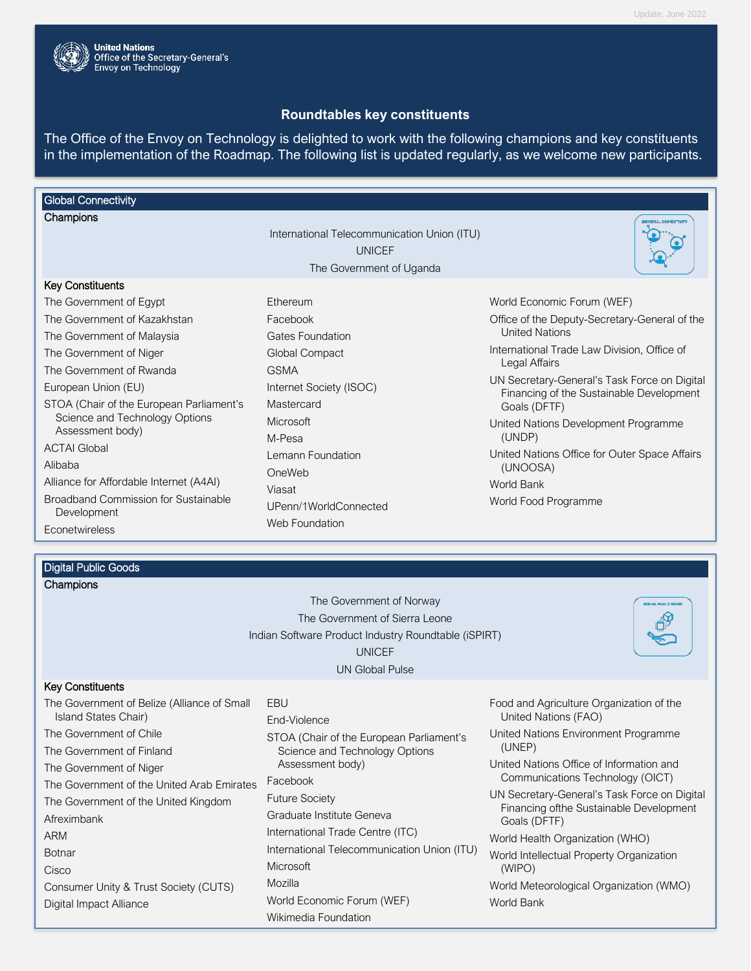

# **Roundtables key constituents**

The Office of the Envoy on Technology is delighted to work with the following champions and key constituents in the implementation of the Roadmap. The following list is updated regularly, as we welcome new participants.

# **Global Connectivity**

| Champions                                                                                                                                                                                                                                                                                                                                          |                                                                                                                                                                                                  | UNIVERSAL DOMNESTIVITY                                                                                                                                                                                                                                                                                                                                                                                        |
|----------------------------------------------------------------------------------------------------------------------------------------------------------------------------------------------------------------------------------------------------------------------------------------------------------------------------------------------------|--------------------------------------------------------------------------------------------------------------------------------------------------------------------------------------------------|---------------------------------------------------------------------------------------------------------------------------------------------------------------------------------------------------------------------------------------------------------------------------------------------------------------------------------------------------------------------------------------------------------------|
|                                                                                                                                                                                                                                                                                                                                                    | International Telecommunication Union (ITU)<br><b>UNICEF</b><br>The Government of Uganda                                                                                                         |                                                                                                                                                                                                                                                                                                                                                                                                               |
| <b>Key Constituents</b>                                                                                                                                                                                                                                                                                                                            |                                                                                                                                                                                                  |                                                                                                                                                                                                                                                                                                                                                                                                               |
| The Government of Egypt<br>The Government of Kazakhstan<br>The Government of Malaysia<br>The Government of Niger<br>The Government of Rwanda<br>European Union (EU)<br>STOA (Chair of the European Parliament's<br>Science and Technology Options<br>Assessment body)<br><b>ACTAI Global</b><br>Alibaba<br>Alliance for Affordable Internet (A4AI) | Ethereum<br>Facebook<br><b>Gates Foundation</b><br>Global Compact<br><b>GSMA</b><br>Internet Society (ISOC)<br>Mastercard<br><b>Microsoft</b><br>M-Pesa<br>Lemann Foundation<br>OneWeb<br>Viasat | World Economic Forum (WEF)<br>Office of the Deputy-Secretary-General of the<br><b>United Nations</b><br>International Trade Law Division, Office of<br>Legal Affairs<br>UN Secretary-General's Task Force on Digital<br>Financing of the Sustainable Development<br>Goals (DFTF)<br>United Nations Development Programme<br>(UNDP)<br>United Nations Office for Outer Space Affairs<br>(UNOOSA)<br>World Bank |
| <b>Broadband Commission for Sustainable</b><br>Development<br><b>Econetwireless</b>                                                                                                                                                                                                                                                                | UPenn/1WorldConnected<br>Web Foundation                                                                                                                                                          | World Food Programme                                                                                                                                                                                                                                                                                                                                                                                          |

## Digital Public Goods

| Champions |  |
|-----------|--|
|           |  |

| The Government of Norway                             |
|------------------------------------------------------|
| The Government of Sierra Leone                       |
| Indian Software Product Industry Roundtable (iSPIRT) |
| <b>UNICEF</b>                                        |
| <b>UN Global Pulse</b>                               |



### Key Constituents

| The Government of Belize (Alliance of Small | EBU   |
|---------------------------------------------|-------|
| Island States Chair)                        | End-  |
| The Government of Chile                     | STO.  |
| The Government of Finland                   | Sc    |
| The Government of Niger                     | As    |
| The Government of the United Arab Emirates  | Face  |
| The Government of the United Kingdom        | Futur |
| Afreximbank                                 | Grac  |
| ARM                                         | Inter |
| <b>Botnar</b>                               | Inter |
| Cisco                                       | Micro |
| Consumer Unity & Trust Society (CUTS)       | Mozi  |
| Digital Impact Alliance                     | Work  |
|                                             |       |

d-Violence OA (Chair of the European Parliament's Science and Technology Options Assessment body) cebook ture Society aduate Institute Geneva ernational Trade Centre (ITC) ernational Telecommunication Union (ITU) Microsoft zilla rld Economic Forum (WEF) Wikimedia Foundation

- Food and Agriculture Organization of the United Nations (FAO)
- United Nations Environment Programme (UNEP)
- United Nations Office of Information and Communications Technology (OICT)
- UN Secretary-General's Task Force on Digital Financing ofthe Sustainable Development Goals (DFTF)
- World Health Organization (WHO)
- World Intellectual Property Organization (WIPO)

World Meteorological Organization (WMO) World Bank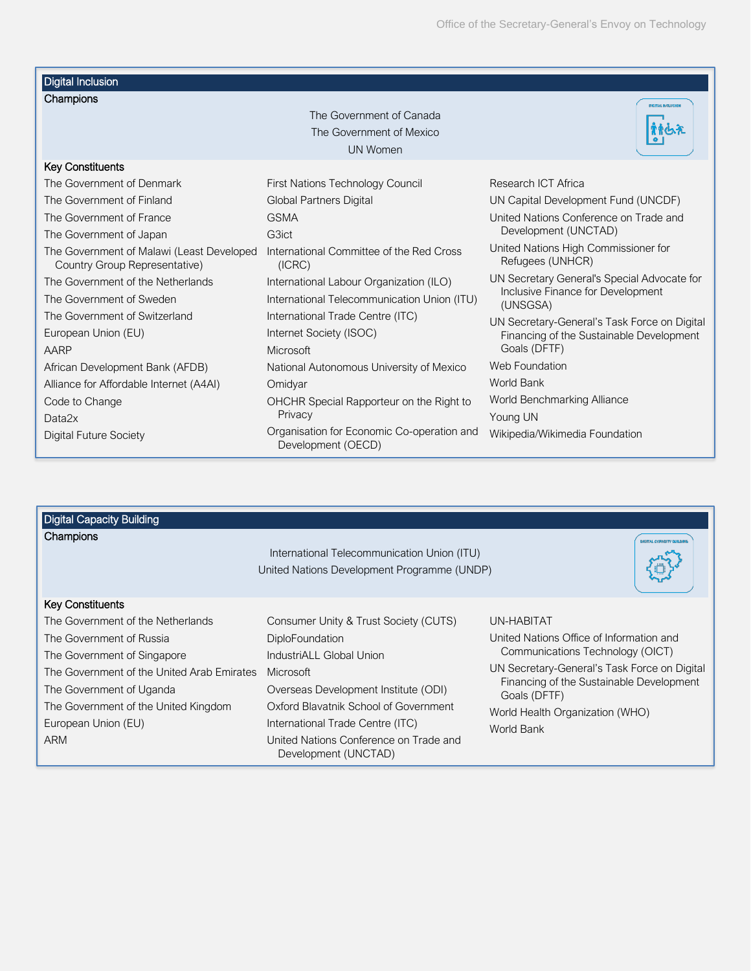| <b>Digital Inclusion</b>                                                   |                                                                  |                                                          |
|----------------------------------------------------------------------------|------------------------------------------------------------------|----------------------------------------------------------|
| Champions                                                                  |                                                                  | <b>DIGITAL INGLUSIO</b>                                  |
|                                                                            | The Government of Canada                                         |                                                          |
|                                                                            | The Government of Mexico                                         |                                                          |
|                                                                            | <b>UN Women</b>                                                  |                                                          |
| <b>Key Constituents</b>                                                    |                                                                  |                                                          |
| The Government of Denmark                                                  | First Nations Technology Council                                 | Research ICT Africa                                      |
| The Government of Finland                                                  | <b>Global Partners Digital</b>                                   | UN Capital Development Fund (UNCDF)                      |
| The Government of France                                                   | <b>GSMA</b>                                                      | United Nations Conference on Trade and                   |
| The Government of Japan                                                    | G3ict                                                            | Development (UNCTAD)                                     |
| The Government of Malawi (Least Developed<br>Country Group Representative) | International Committee of the Red Cross<br>(ICRC)               | United Nations High Commissioner for<br>Refugees (UNHCR) |
| The Government of the Netherlands                                          | International Labour Organization (ILO)                          | UN Secretary General's Special Advocate for              |
| The Government of Sweden                                                   | International Telecommunication Union (ITU)                      | Inclusive Finance for Development<br>(UNSGSA)            |
| The Government of Switzerland                                              | International Trade Centre (ITC)                                 | UN Secretary-General's Task Force on Digital             |
| European Union (EU)                                                        | Internet Society (ISOC)                                          | Financing of the Sustainable Development                 |
| AARP                                                                       | Microsoft                                                        | Goals (DFTF)                                             |
| African Development Bank (AFDB)                                            | National Autonomous University of Mexico                         | Web Foundation                                           |
| Alliance for Affordable Internet (A4AI)                                    | Omidyar                                                          | World Bank                                               |
| Code to Change                                                             | OHCHR Special Rapporteur on the Right to                         | World Benchmarking Alliance                              |
| Data <sub>2x</sub>                                                         | Privacy                                                          | Young UN                                                 |
| <b>Digital Future Society</b>                                              | Organisation for Economic Co-operation and<br>Development (OECD) | Wikipedia/Wikimedia Foundation                           |

| <b>Digital Capacity Building</b>           |                                                                                            |                                                          |
|--------------------------------------------|--------------------------------------------------------------------------------------------|----------------------------------------------------------|
| Champions                                  | International Telecommunication Union (ITU)<br>United Nations Development Programme (UNDP) | <b>DIGITAL CARNETY BUILDE</b>                            |
| Key Constituents                           |                                                                                            |                                                          |
| The Government of the Netherlands          | Consumer Unity & Trust Society (CUTS)                                                      | UN-HABITAT                                               |
| The Government of Russia                   | <b>DiploFoundation</b>                                                                     | United Nations Office of Information and                 |
| The Government of Singapore                | IndustriALL Global Union                                                                   | Communications Technology (OICT)                         |
| The Government of the United Arab Emirates | Microsoft                                                                                  | UN Secretary-General's Task Force on Digital             |
| The Government of Uganda                   | Overseas Development Institute (ODI)                                                       | Financing of the Sustainable Development<br>Goals (DFTF) |
| The Government of the United Kingdom       | Oxford Blavatnik School of Government                                                      | World Health Organization (WHO)                          |
| European Union (EU)                        | International Trade Centre (ITC)                                                           | World Bank                                               |
| <b>ARM</b>                                 | United Nations Conference on Trade and<br>Development (UNCTAD)                             |                                                          |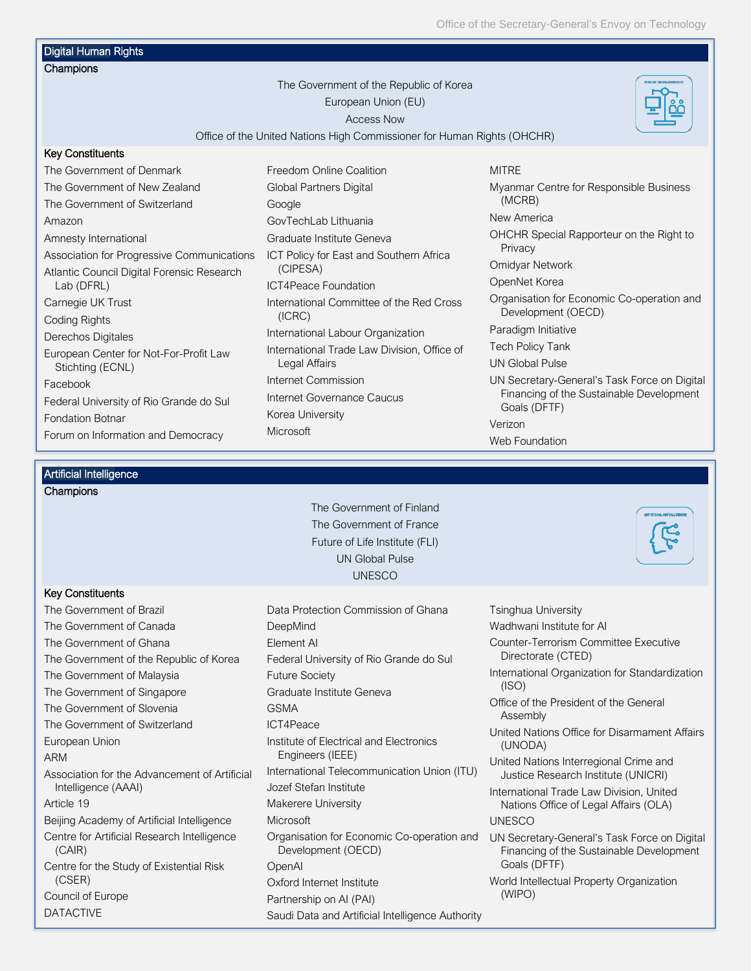Office of the Secretary-General's Envoy on Technology

# Digital Human Rights

#### **Champions**

The Government of the Republic of Korea European Union (EU) Access Now



Office of the United Nations High Commissioner for Human Rights (OHCHR)

#### Key Constituents

The Government of Denmark The Government of New Zealand The Government of Switzerland Amazon Amnesty International Association for Progressive Communications Atlantic Council Digital Forensic Research Lab (DFRL) Carnegie UK Trust Coding Rights Derechos Digitales European Center for Not-For-Profit Law Stichting (ECNL) Facebook Federal University of Rio Grande do Sul Fondation Botnar Forum on Information and Democracy

Freedom Online Coalition Global Partners Digital Google GovTechLab Lithuania Graduate Institute Geneva ICT Policy for East and Southern Africa (CIPESA) ICT4Peace Foundation International Committee of the Red Cross (ICRC) International Labour Organization International Trade Law Division, Office of Legal Affairs Internet Commission Internet Governance Caucus Korea University **Microsoft** 

#### **MITRE**

Myanmar Centre for Responsible Business (MCRB) New America OHCHR Special Rapporteur on the Right to Privacy Omidyar Network OpenNet Korea Organisation for Economic Co-operation and Development (OECD) Paradigm Initiative Tech Policy Tank UN Global Pulse UN Secretary-General's Task Force on Digital Financing of the Sustainable Development Goals (DFTF) Verizon Web Foundation

### Artificial Intelligence

DATACTIVE

| Champions                                             | The Government of Finland                                        |                                                                                          |
|-------------------------------------------------------|------------------------------------------------------------------|------------------------------------------------------------------------------------------|
|                                                       |                                                                  | ATTITUALINTELLIGENGI                                                                     |
|                                                       | The Government of France                                         |                                                                                          |
|                                                       | Future of Life Institute (FLI)                                   |                                                                                          |
|                                                       | <b>UN Global Pulse</b>                                           |                                                                                          |
|                                                       | <b>UNESCO</b>                                                    |                                                                                          |
| <b>Key Constituents</b>                               |                                                                  |                                                                                          |
| The Government of Brazil                              | Data Protection Commission of Ghana                              | <b>Tsinghua University</b>                                                               |
| The Government of Canada                              | DeepMind                                                         | Wadhwani Institute for Al                                                                |
| The Government of Ghana                               | Element Al                                                       | Counter-Terrorism Committee Executive                                                    |
| The Government of the Republic of Korea               | Federal University of Rio Grande do Sul                          | Directorate (CTED)                                                                       |
| The Government of Malaysia                            | <b>Future Society</b>                                            | International Organization for Standardization                                           |
| The Government of Singapore                           | Graduate Institute Geneva                                        | (ISO)                                                                                    |
| The Government of Slovenia                            | <b>GSMA</b>                                                      | Office of the President of the General<br>Assembly                                       |
| The Government of Switzerland                         | ICT4Peace                                                        | United Nations Office for Disarmament Affairs                                            |
| European Union                                        | Institute of Electrical and Electronics                          | (UNODA)                                                                                  |
| <b>ARM</b>                                            | Engineers (IEEE)                                                 | United Nations Interregional Crime and                                                   |
| Association for the Advancement of Artificial         | International Telecommunication Union (ITU)                      | Justice Research Institute (UNICRI)                                                      |
| Intelligence (AAAI)                                   | Jozef Stefan Institute                                           | International Trade Law Division, United                                                 |
| Article 19                                            | Makerere University                                              | Nations Office of Legal Affairs (OLA)                                                    |
| Beijing Academy of Artificial Intelligence            | <b>Microsoft</b>                                                 | <b>UNESCO</b>                                                                            |
| Centre for Artificial Research Intelligence<br>(CAIR) | Organisation for Economic Co-operation and<br>Development (OECD) | UN Secretary-General's Task Force on Digital<br>Financing of the Sustainable Development |
| Centre for the Study of Existential Risk              | OpenAl                                                           | Goals (DFTF)                                                                             |
| (CSER)                                                | Oxford Internet Institute                                        | World Intellectual Property Organization                                                 |
| Council of Europe                                     | Partnership on AI (PAI)                                          | (WIPO)                                                                                   |

Saudi Data and Artificial Intelligence Authority